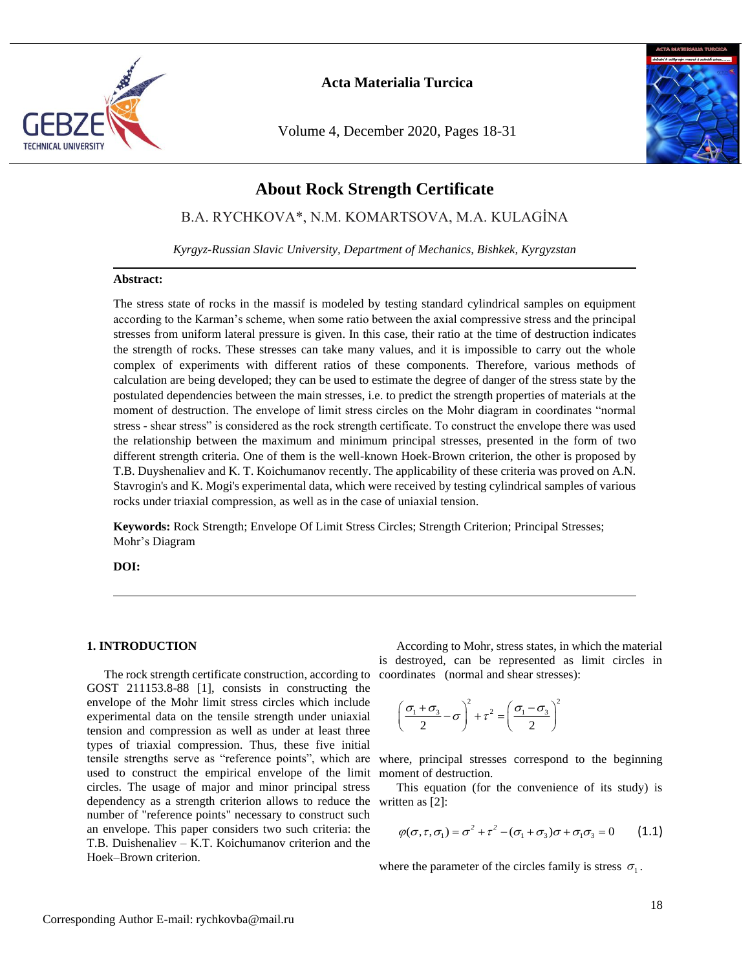

Volume 4, December 2020, Pages 18-31



# **About Rock Strength Certificate**

B.A. RYCHKOVA\*, N.M. KOMARTSOVA, M.A. KULAGİNA

*Kyrgyz-Russian Slavic University, Department of Mechanics, Bishkek, Kyrgyzstan*

#### **Abstract:**

The stress state of rocks in the massif is modeled by testing standard cylindrical samples on equipment according to the Karman's scheme, when some ratio between the axial compressive stress and the principal stresses from uniform lateral pressure is given. In this case, their ratio at the time of destruction indicates the strength of rocks. These stresses can take many values, and it is impossible to carry out the whole complex of experiments with different ratios of these components. Therefore, various methods of calculation are being developed; they can be used to estimate the degree of danger of the stress state by the postulated dependencies between the main stresses, i.e. to predict the strength properties of materials at the moment of destruction. The envelope of limit stress circles on the Mohr diagram in coordinates "normal stress - shear stress" is considered as the rock strength certificate. To construct the envelope there was used the relationship between the maximum and minimum principal stresses, presented in the form of two different strength criteria. One of them is the well-known Hoek-Brown criterion, the other is proposed by T.B. Duyshenaliev and K. T. Koichumanov recently. The applicability of these criteria was proved on A.N. Stavrogin's and K. Mogi's experimental data, which were received by testing cylindrical samples of various rocks under triaxial compression, as well as in the case of uniaxial tension.

**Keywords:** Rock Strength; Envelope Of Limit Stress Circles; Strength Criterion; Principal Stresses; Mohr's Diagram

**DOI:**

#### **1. INTRODUCTION**

The rock strength certificate construction, according to coordinates (normal and shear stresses): GOST 211153.8-88 [1], consists in constructing the envelope of the Mohr limit stress circles which include experimental data on the tensile strength under uniaxial tension and compression as well as under at least three types of triaxial compression. Thus, these five initial tensile strengths serve as "reference points", which are where, principal stresses correspond to the beginning used to construct the empirical envelope of the limit circles. The usage of major and minor principal stress dependency as a strength criterion allows to reduce the number of "reference points" necessary to construct such an envelope. This paper considers two such criteria: the T.B. Duishenaliev – K.T. Koichumanov criterion and the Hoek–Brown criterion.

According to Mohr, stress states, in which the material is destroyed, can be represented as limit circles in

$$
\left(\frac{\sigma_1 + \sigma_3}{2} - \sigma\right)^2 + \tau^2 = \left(\frac{\sigma_1 - \sigma_3}{2}\right)^2
$$

moment of destruction.

This equation (for the convenience of its study) is written as [2]:

$$
\varphi(\sigma,\tau,\sigma_1) = \sigma^2 + \tau^2 - (\sigma_1 + \sigma_3)\sigma + \sigma_1\sigma_3 = 0 \qquad (1.1)
$$

where the parameter of the circles family is stress  $\sigma_1$ .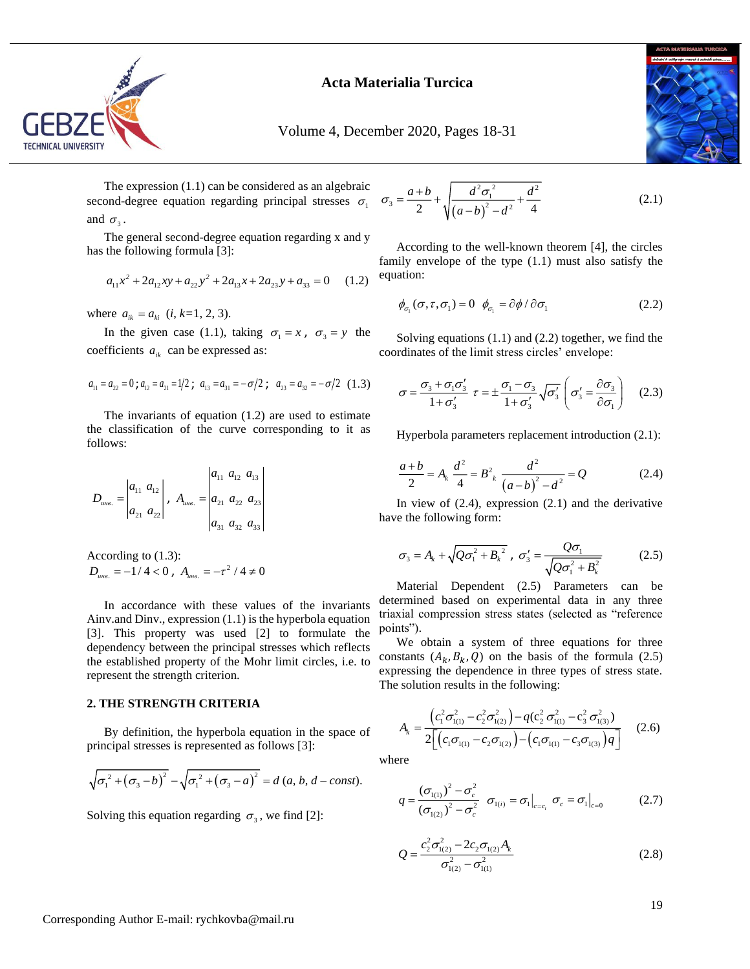

Volume 4, December 2020, Pages 18-31

The expression (1.1) can be considered as an algebraic second-degree equation regarding principal stresses  $\sigma_1$ and  $\sigma_3$ .

The general second-degree equation regarding x and y has the following formula [3]:

$$
a_{11}x^2 + 2a_{12}xy + a_{22}y^2 + 2a_{13}x + 2a_{23}y + a_{33} = 0 \quad (1.2)
$$

where  $a_{ik} = a_{ki}$  (*i*, *k*=1, 2, 3).

In the given case (1.1), taking  $\sigma_1 = x$ ,  $\sigma_3 = y$  the coefficients  $a_{ik}$  can be expressed as:

$$
a_{11} = a_{22} = 0
$$
;  $a_{12} = a_{21} = 1/2$ ;  $a_{13} = a_{31} = -\sigma/2$ ;  $a_{23} = a_{32} = -\sigma/2$  (1.3)

The invariants of equation (1.2) are used to estimate the classification of the curve corresponding to it as follows:

$$
D_{u\text{net}} = \begin{vmatrix} a_{11} & a_{12} \\ a_{21} & a_{22} \end{vmatrix}, \quad A_{u\text{net}} = \begin{vmatrix} a_{11} & a_{12} & a_{13} \\ a_{21} & a_{22} & a_{23} \\ a_{31} & a_{32} & a_{33} \end{vmatrix}
$$

According to (1.3):  $D_{_{\!\!{\text{unis.}}}} = -1$  / 4  $<$   $0$  ,  $\,$   $A_{_{\!\!{\text{unis.}}}} = -\tau^{\text{2}}$  / 4  $\neq$   $0$ 

In accordance with these values of the invariants Ainv.and Dinv., expression (1.1) is the hyperbola equation [3]. This property was used [2] to formulate the dependency between the principal stresses which reflects the established property of the Mohr limit circles, i.e. to represent the strength criterion.

#### **2. THE STRENGTH CRITERIA**

By definition, the hyperbola equation in the space of principal stresses is represented as follows [3]:

$$
\sqrt{{\sigma_1}^2 + (\sigma_3 - b)^2} - \sqrt{{\sigma_1}^2 + (\sigma_3 - a)^2} = d (a, b, d - const).
$$

Solving this equation regarding  $\sigma_3$ , we find [2]:

$$
a_3 = \frac{a+b}{2} + \sqrt{\frac{d^2 \sigma_1^2}{(a-b)^2 - d^2} + \frac{d^2}{4}}
$$
 (2.1)

According to the well-known theorem [4], the circles family envelope of the type (1.1) must also satisfy the equation:

$$
\phi_{\sigma_1}(\sigma, \tau, \sigma_1) = 0 \quad \phi_{\sigma_1} = \partial \phi / \partial \sigma_1 \tag{2.2}
$$

Solving equations (1.1) and (2.2) together, we find the coordinates of the limit stress circles' envelope:

$$
\sigma = \frac{\sigma_3 + \sigma_1 \sigma_3'}{1 + \sigma_3'} \ \tau = \pm \frac{\sigma_1 - \sigma_3}{1 + \sigma_3'} \sqrt{\sigma_3'} \left( \sigma_3' = \frac{\partial \sigma_3}{\partial \sigma_1} \right) \quad (2.3)
$$

Hyperbola parameters replacement introduction (2.1):

$$
\frac{a+b}{2} = A_k \frac{d^2}{4} = B_{k}^2 \frac{d^2}{(a-b)^2 - d^2} = Q
$$
 (2.4)

In view of  $(2.4)$ , expression  $(2.1)$  and the derivative have the following form:

$$
\sigma_3 = A_k + \sqrt{Q\sigma_1^2 + B_k^2}, \ \sigma_3' = \frac{Q\sigma_1}{\sqrt{Q\sigma_1^2 + B_k^2}} \tag{2.5}
$$

Material Dependent (2.5) Parameters can be determined based on experimental data in any three triaxial compression stress states (selected as "reference points").

We obtain a system of three equations for three constants  $(A_k, B_k, Q)$  on the basis of the formula (2.5) expressing the dependence in three types of stress state. The solution results in the following:

$$
A_{k} = \frac{\left(c_{1}^{2}\sigma_{1(1)}^{2} - c_{2}^{2}\sigma_{1(2)}^{2}\right) - q(c_{2}^{2}\sigma_{1(1)}^{2} - c_{3}^{2}\sigma_{1(3)}^{2})}{2\left[\left(c_{1}\sigma_{1(1)} - c_{2}\sigma_{1(2)}\right) - \left(c_{1}\sigma_{1(1)} - c_{3}\sigma_{1(3)}\right)q\right]}
$$
(2.6)

where

$$
q = \frac{(\sigma_{1(1)})^2 - \sigma_c^2}{(\sigma_{1(2)})^2 - \sigma_c^2} \quad \sigma_{1(i)} = \sigma_1 \big|_{c = c_i} \quad \sigma_c = \sigma_1 \big|_{c = 0} \tag{2.7}
$$

$$
Q = \frac{c_2^2 \sigma_{1(2)}^2 - 2c_2 \sigma_{1(2)} A_k}{\sigma_{1(2)}^2 - \sigma_{1(1)}^2}
$$
 (2.8)

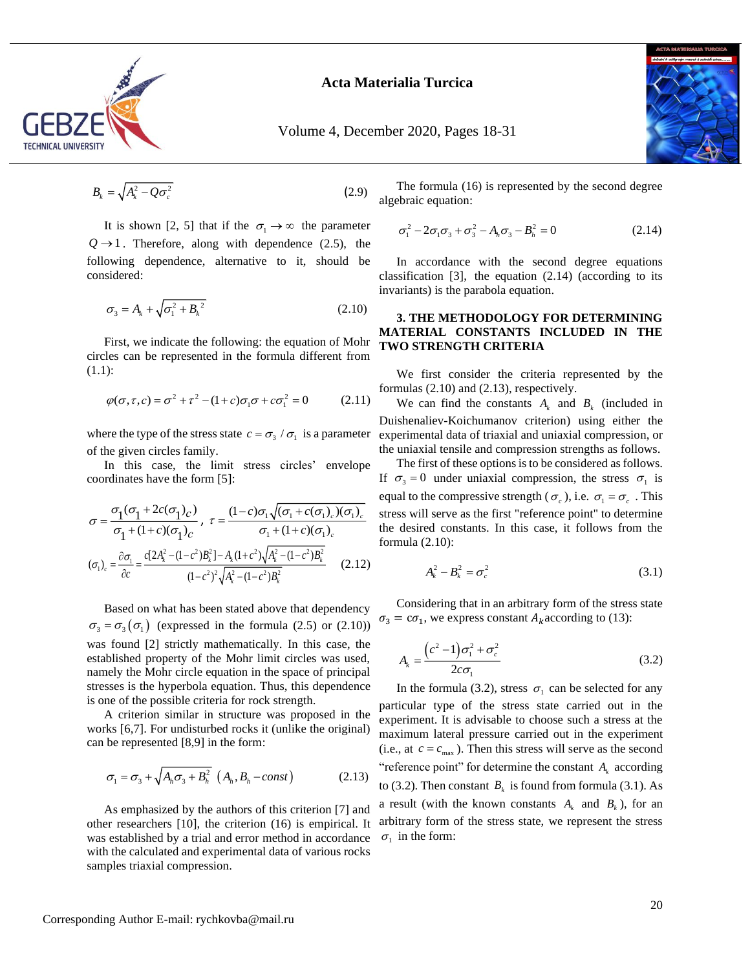

Volume 4, December 2020, Pages 18-31



$$
B_k = \sqrt{A_k^2 - Q\sigma_c^2} \tag{2.9}
$$

It is shown [2, 5] that if the  $\sigma_1 \rightarrow \infty$  the parameter  $Q \rightarrow 1$ . Therefore, along with dependence (2.5), the following dependence, alternative to it, should be considered:

$$
\sigma_3 = A_k + \sqrt{{\sigma_1}^2 + {B_k}^2}
$$
 (2.10)

First, we indicate the following: the equation of Mohr circles can be represented in the formula different from (1.1):

$$
\varphi(\sigma, \tau, c) = \sigma^2 + \tau^2 - (1 + c)\sigma_1 \sigma + c \sigma_1^2 = 0 \tag{2.11}
$$

where the type of the stress state  $c = \sigma_3 / \sigma_1$  is a parameter of the given circles family.

In this case, the limit stress circles' envelope coordinates have the form [5]:

$$
\sigma = \frac{\sigma_1(\sigma_1 + 2c(\sigma_1)_c)}{\sigma_1 + (1+c)(\sigma_1)_c}, \tau = \frac{(1-c)\sigma_1\sqrt{(\sigma_1 + c(\sigma_1)_c)(\sigma_1)_c}}{\sigma_1 + (1+c)(\sigma_1)_c}
$$

$$
(\sigma_1)_c = \frac{\partial \sigma_1}{\partial c} = \frac{c[2A_k^2 - (1-c^2)B_k^2] - A_k(1+c^2)\sqrt{A_k^2 - (1-c^2)B_k^2}}{(1-c^2)^2\sqrt{A_k^2 - (1-c^2)B_k^2}} \qquad (2.12)
$$

B<sub>i</sub> =  $\sqrt{A_i^2 - 0\sigma_c^2}$ <br>
It is shown [2, 5] that if the  $\sigma_1 \rightarrow \infty$ <br>  $Q \rightarrow 1$ . Therefore, along with depende<br>
following dependence, alternative to<br>
considered:<br>  $\sigma_3 = A_k + \sqrt{\sigma_1^2 + B_k^2}$ <br>
First, we indicate the following Based on what has been stated above that dependency  $\sigma_3 = \sigma_3(\sigma_1)$  (expressed in the formula (2.5) or (2.10)) was found [2] strictly mathematically. In this case, the established property of the Mohr limit circles was used, namely the Mohr circle equation in the space of principal stresses is the hyperbola equation. Thus, this dependence is one of the possible criteria for rock strength.

A criterion similar in structure was proposed in the works [6,7]. For undisturbed rocks it (unlike the original) can be represented [8,9] in the form:

$$
\sigma_1 = \sigma_3 + \sqrt{A_h \sigma_3 + B_h^2} \left( A_h, B_h - const \right) \tag{2.13}
$$

As emphasized by the authors of this criterion [7] and other researchers [10], the criterion (16) is empirical. It was established by a trial and error method in accordance with the calculated and experimental data of various rocks samples triaxial compression.

The formula (16) is represented by the second degree algebraic equation:

$$
\sigma_1^2 - 2\sigma_1 \sigma_3 + \sigma_3^2 - A_h \sigma_3 - B_h^2 = 0 \tag{2.14}
$$

In accordance with the second degree equations classification  $[3]$ , the equation  $(2.14)$  (according to its invariants) is the parabola equation.

#### **3. THE METHODOLOGY FOR DETERMINING MATERIAL CONSTANTS INCLUDED IN THE TWO STRENGTH CRITERIA**

We first consider the criteria represented by the formulas (2.10) and (2.13), respectively.

We can find the constants  $A_k$  and  $B_k$  (included in Duishenaliev-Koichumanov criterion) using either the experimental data of triaxial and uniaxial compression, or the uniaxial tensile and compression strengths as follows.

The first of these options is to be considered as follows. If  $\sigma_3 = 0$  under uniaxial compression, the stress  $\sigma_1$  is equal to the compressive strength ( $\sigma_c$ ), i.e.  $\sigma_1 = \sigma_c$ . This stress will serve as the first "reference point" to determine the desired constants. In this case, it follows from the formula (2.10):

$$
A_k^2 - B_k^2 = \sigma_c^2 \tag{3.1}
$$

Considering that in an arbitrary form of the stress state  $\sigma_3 = c\sigma_1$ , we express constant  $A_k$  according to (13):

$$
A_k = \frac{\left(c^2 - 1\right)\sigma_1^2 + \sigma_c^2}{2c\sigma_1} \tag{3.2}
$$

In the formula (3.2), stress  $\sigma_1$  can be selected for any particular type of the stress state carried out in the experiment. It is advisable to choose such a stress at the maximum lateral pressure carried out in the experiment (i.e., at  $c = c_{\text{max}}$ ). Then this stress will serve as the second "reference point" for determine the constant  $A_k$  according to (3.2). Then constant  $B_k$  is found from formula (3.1). As a result (with the known constants  $A_k$  and  $B_k$ ), for an arbitrary form of the stress state, we represent the stress  $\sigma_1$  in the form: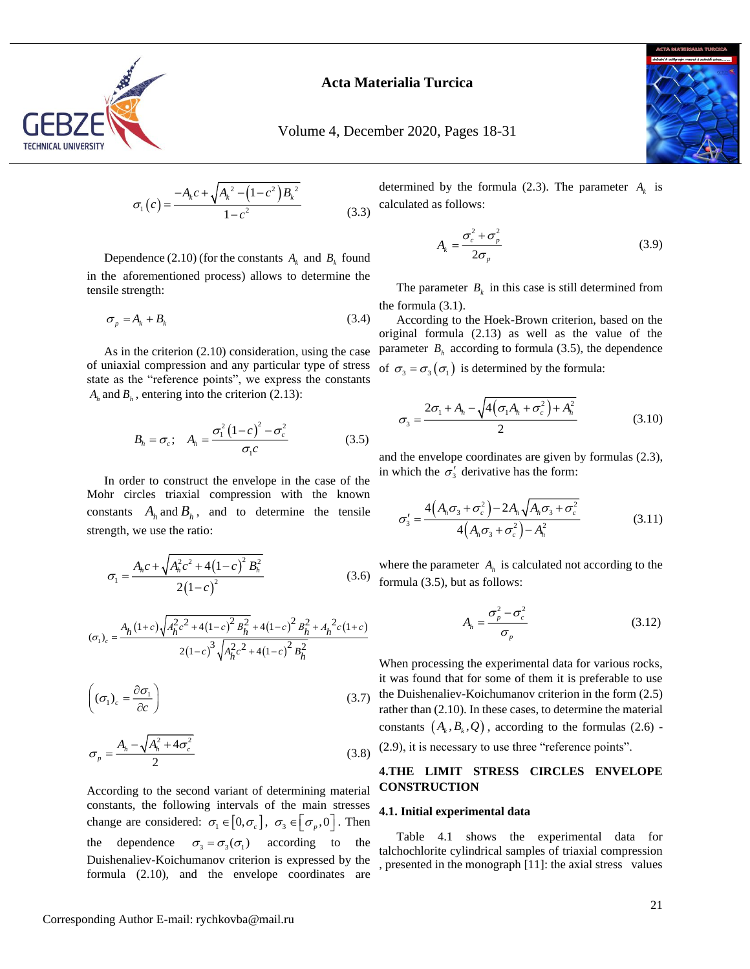

Volume 4, December 2020, Pages 18-31

$$
\sigma_1(c) = \frac{-A_k c + \sqrt{A_k^2 - (1 - c^2)B_k^2}}{1 - c^2}
$$
\n(3.3)

Dependence (2.10) (for the constants  $A_k$  and  $B_k$  found in the aforementioned process) allows to determine the tensile strength:

$$
\sigma_p = A_k + B_k \tag{3.4}
$$

As in the criterion (2.10) consideration, using the case of uniaxial compression and any particular type of stress state as the "reference points", we express the constants  $A_h$  and  $B_h$ , entering into the criterion (2.13):

$$
B_h = \sigma_c; \quad A_h = \frac{\sigma_1^2 (1 - c)^2 - \sigma_c^2}{\sigma_1 c}
$$
(3.5)

In order to construct the envelope in the case of the Mohr circles triaxial compression with the known constants  $A_h$  and  $B_h$ , and to determine the tensile strength, we use the ratio:

$$
\sigma_1 = \frac{A_h c + \sqrt{A_h^2 c^2 + 4(1-c)^2} B_h^2}{2(1-c)^2}
$$
\n(3.6)

$$
\left(\sigma_{1}\right)_{c} = \frac{A_{h}(1+c)\sqrt{A_{h}^{2}c^{2}+4(1-c)^{2}B_{h}^{2}}+4(1-c)^{2}B_{h}^{2}+A_{h}^{2}c(1+c)}{2(1-c)^{3}\sqrt{A_{h}^{2}c^{2}+4(1-c)^{2}B_{h}^{2}}}
$$

$$
\left( \left( \sigma_{1} \right)_{c} = \frac{\partial \sigma_{1}}{\partial c} \right) \tag{3.7}
$$

$$
\sigma_p = \frac{A_h - \sqrt{A_h^2 + 4\sigma_c^2}}{2} \tag{3.8}
$$

 $\sigma_1(c) = \frac{1}{1-c^2}$ <br>
Dependence (2.10) (for the constants A<br>
in the aforementioned process) allows to<br>
tensile strength:<br>  $\sigma_p = A_k + B_k$ <br>
As in the criterion (2.10) consideration<br>
of uniaxial compression and any particular<br> According to the second variant of determining material constants, the following intervals of the main stresses change are considered:  $\sigma_1 \in [0, \sigma_c]$ ,  $\sigma_3 \in [\sigma_p, 0]$ . Then the dependence  $\sigma_3 = \sigma_3(\sigma_1)$  according to the Duishenaliev-Koichumanov criterion is expressed by the formula (2.10), and the envelope coordinates are

determined by the formula (2.3). The parameter  $A_k$  is calculated as follows:

$$
A_k = \frac{\sigma_c^2 + \sigma_p^2}{2\sigma_p} \tag{3.9}
$$

The parameter  $B_k$  in this case is still determined from the formula (3.1).

According to the Hoek-Brown criterion, based on the original formula (2.13) as well as the value of the parameter  $B_h$  according to formula (3.5), the dependence of  $\sigma_3 = \sigma_3(\sigma_1)$  is determined by the formula:

$$
\sigma_3 = \frac{2\sigma_1 + A_h - \sqrt{4(\sigma_1 A_h + \sigma_c^2) + A_h^2}}{2}
$$
\n(3.10)

and the envelope coordinates are given by formulas (2.3), in which the  $\sigma'_{3}$  derivative has the form:

$$
\sigma'_{3} = \frac{4(A_{h}\sigma_{3} + \sigma_{c}^{2}) - 2A_{h}\sqrt{A_{h}\sigma_{3} + \sigma_{c}^{2}}}{4(A_{h}\sigma_{3} + \sigma_{c}^{2}) - A_{h}^{2}}
$$
(3.11)

where the parameter  $A_h$  is calculated not according to the formula (3.5), but as follows:

$$
A_h = \frac{\sigma_p^2 - \sigma_c^2}{\sigma_p} \tag{3.12}
$$

When processing the experimental data for various rocks, it was found that for some of them it is preferable to use the Duishenaliev-Koichumanov criterion in the form (2.5) rather than (2.10). In these cases, to determine the material constants  $(A_k, B_k, Q)$ , according to the formulas (2.6) -(2.9), it is necessary to use three "reference points".

#### **4.THE LIMIT STRESS CIRCLES ENVELOPE CONSTRUCTION**

#### **4.1. Initial experimental data**

Table 4.1 shows the experimental data for talchochlorite cylindrical samples of triaxial compression , presented in the monograph [11]: the axial stress values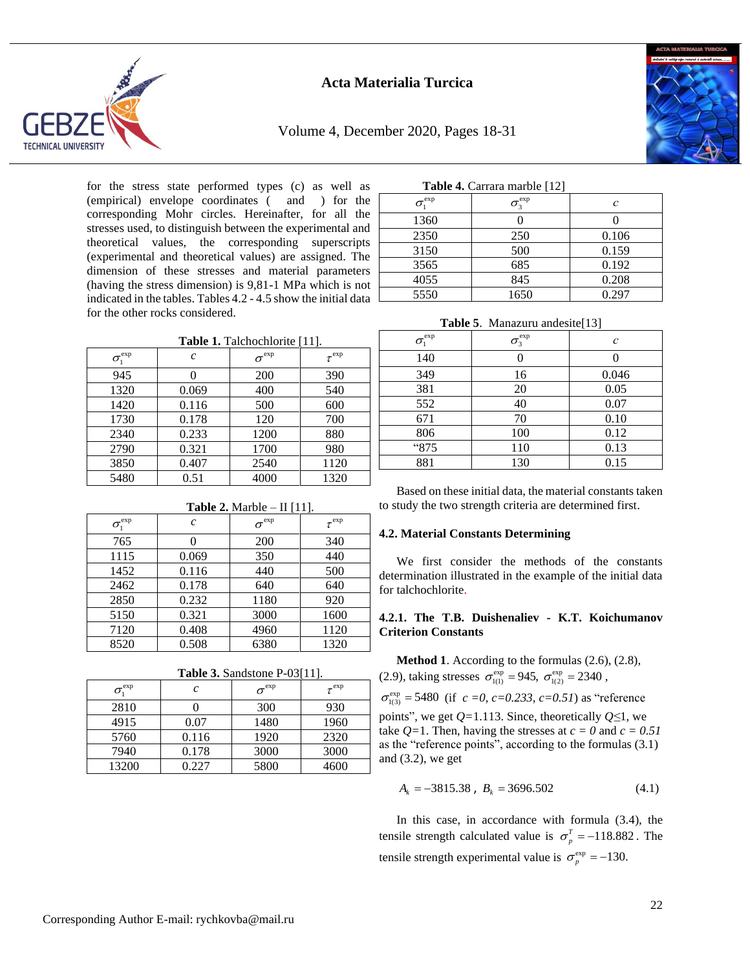





for the stress state performed types (c) as well as (empirical) envelope coordinates ( and ) for the corresponding Mohr circles. Hereinafter, for all the stresses used, to distinguish between the experimental and theoretical values, the corresponding superscripts (experimental and theoretical values) are assigned. The dimension of these stresses and material parameters (having the stress dimension) is 9,81-1 MPa which is not indicated in the tables. Tables 4.2 - 4.5 show the initial data for the other rocks considered.

| Table 1. Talchochlorite [11]. |  |
|-------------------------------|--|
|                               |  |

| $\sigma_{\text{\tiny{l}}}^{\text{exp}}$ | $\mathcal{C}_{0}^{2}$ | $\sigma^{\rm exp}$ | $\tau^{\rm exp}$ |
|-----------------------------------------|-----------------------|--------------------|------------------|
| 945                                     |                       | 200                | 390              |
| 1320                                    | 0.069                 | 400                | 540              |
| 1420                                    | 0.116                 | 500                | 600              |
| 1730                                    | 0.178                 | 120                | 700              |
| 2340                                    | 0.233                 | 1200               | 880              |
| 2790                                    | 0.321                 | 1700               | 980              |
| 3850                                    | 0.407                 | 2540               | 1120             |
| 5480                                    | 0.51                  | 4000               | 1320             |

**Table 2.** Marble – II [11].

| <b>Table 2.</b> Marble $-$ II $ 11 $ .  |                       |                    |                  |  |  |  |
|-----------------------------------------|-----------------------|--------------------|------------------|--|--|--|
| $\sigma_{\text{\tiny{l}}}^{\text{exp}}$ | $\mathcal{C}_{0}^{2}$ | $\sigma^{\rm exp}$ | $\tau^{\rm exp}$ |  |  |  |
| 765                                     |                       | 200                | 340              |  |  |  |
| 1115                                    | 0.069                 | 350                | 440              |  |  |  |
| 1452                                    | 0.116                 | 440                | 500              |  |  |  |
| 2462                                    | 0.178                 | 640                | 640              |  |  |  |
| 2850                                    | 0.232                 | 1180               | 920              |  |  |  |
| 5150                                    | 0.321                 | 3000               | 1600             |  |  |  |
| 7120                                    | 0.408                 | 4960               | 1120             |  |  |  |
| 8520                                    | 0.508                 | 6380               | 1320             |  |  |  |

**Table 3.** Sandstone P-03[11].

| $\sigma_{\text{\tiny{1}}}^{\text{exp}}$ | c     | $\sigma^{\rm exp}$ | $\tau^{\rm exp}$ |
|-----------------------------------------|-------|--------------------|------------------|
| 2810                                    |       | 300                | 930              |
| 4915                                    | 0.07  | 1480               | 1960             |
| 5760                                    | 0.116 | 1920               | 2320             |
| 7940                                    | 0.178 | 3000               | 3000             |
| 13200                                   | 1.227 | 5800               | 4600             |

| Table 4. Carrara marble [12] |  |  |
|------------------------------|--|--|
|                              |  |  |

| $\sigma_{i}^{\rm exp}$ | $\sigma_\text{\tiny 3}^\text{\tiny exp}$ | $\mathcal C$ |  |  |  |  |  |
|------------------------|------------------------------------------|--------------|--|--|--|--|--|
| 1360                   |                                          |              |  |  |  |  |  |
| 2350                   | 250                                      | 0.106        |  |  |  |  |  |
| 3150                   | 500                                      | 0.159        |  |  |  |  |  |
| 3565                   | 685                                      | 0.192        |  |  |  |  |  |
| 4055                   | 845                                      | 0.208        |  |  |  |  |  |
| 5550                   | 1650                                     | 0.297        |  |  |  |  |  |

**Table 5**. Manazuru andesite[13]

| $\sigma_{\text{\tiny{l}}}^{\text{exp}}$ | $\sigma_\text{\tiny 3}^\text{\tiny exp}$ | C     |
|-----------------------------------------|------------------------------------------|-------|
| 140                                     |                                          |       |
| 349                                     | 16                                       | 0.046 |
| 381                                     | 20                                       | 0.05  |
| 552                                     | 40                                       | 0.07  |
| 671                                     | 70                                       | 0.10  |
| 806                                     | 100                                      | 0.12  |
| "875                                    | 110                                      | 0.13  |
| 881                                     | 130                                      | 0.15  |

Based on these initial data, the material constants taken to study the two strength criteria are determined first.

#### **4.2. Material Constants Determining**

We first consider the methods of the constants determination illustrated in the example of the initial data for talchochlorite.

#### **4.2.1. The T.B. Duishenaliev - K.T. Koichumanov Criterion Constants**

**Method 1**. According to the formulas (2.6), (2.8), (2.9), taking stresses  $\sigma_{1(1)}^{\text{exp}} = 945$ ,  $\sigma_{1(2)}^{\text{exp}} = 2340$ ,

 $\sigma_{1(3)}^{\text{exp}}$  = 5480 (if *c* = 0, *c*=0.233, *c*=0.51) as "reference

points", we get *Q=*1.113. Since, theoretically *Q≤*1, we take  $Q=1$ . Then, having the stresses at  $c = 0$  and  $c = 0.51$ as the "reference points", according to the formulas (3.1) and (3.2), we get

$$
A_k = -3815.38 \, , \, B_k = 3696.502 \tag{4.1}
$$

In this case, in accordance with formula (3.4), the tensile strength calculated value is  $\sigma_p^T = -118.882$ . The tensile strength experimental value is  $\sigma_p^{\text{exp}} = -130$ .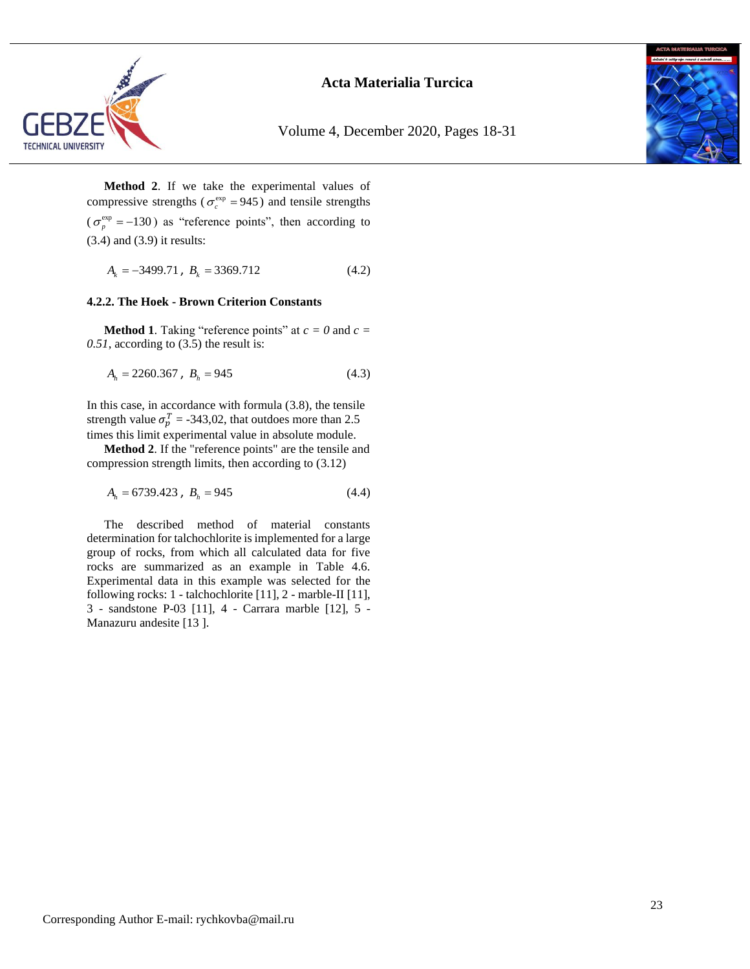

Volume 4, December 2020, Pages 18-31



**Method 2**. If we take the experimental values of compressive strengths ( $\sigma_c^{\text{exp}} = 945$ ) and tensile strengths  $(\sigma_p^{\text{exp}} = -130)$  as "reference points", then according to (3.4) and (3.9) it results:

$$
A_k = -3499.71, B_k = 3369.712 \tag{4.2}
$$

#### **4.2.2. The Hoek - Brown Criterion Constants**

**Method 1.** Taking "reference points" at  $c = 0$  and  $c =$ *0.51*, according to (3.5) the result is:

$$
A_h = 2260.367 \, , \, B_h = 945 \tag{4.3}
$$

In this case, in accordance with formula (3.8), the tensile strength value  $\sigma_p^T = -343,02$ , that outdoes more than 2.5 times this limit experimental value in absolute module.

**Method 2**. If the "reference points" are the tensile and compression strength limits, then according to (3.12)

$$
A_h = 6739.423 \, , \, B_h = 945 \tag{4.4}
$$

The described method of material constants determination for talchochlorite is implemented for a large group of rocks, from which all calculated data for five rocks are summarized as an example in Table 4.6. Experimental data in this example was selected for the following rocks: 1 - talchochlorite [11], 2 - marble-II [11], 3 - sandstone P-03 [11], 4 - Carrara marble [12], 5 - Manazuru andesite [13 ].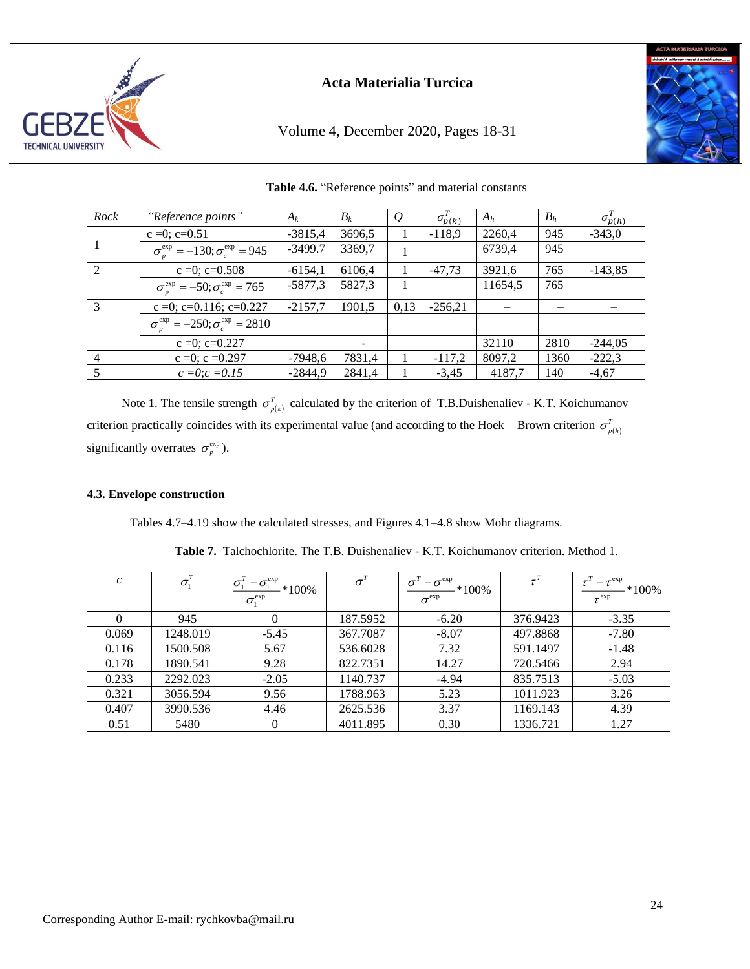

Volume 4, December 2020, Pages 18-31



| Rock           | "Reference points"                                           | $A_k$     | $B_k$  | $\mathcal{Q}$ | $\sigma_{p(k)}^T$ | $A_h$   | $B_h$ | $\sigma_{p(h)}^{T}$ |
|----------------|--------------------------------------------------------------|-----------|--------|---------------|-------------------|---------|-------|---------------------|
|                | $c = 0$ ; $c = 0.51$                                         | $-3815,4$ | 3696,5 |               | $-118,9$          | 2260,4  | 945   | $-343,0$            |
| -1             | $\sigma_r^{\text{exp}} = -130; \sigma_c^{\text{exp}} = 945$  | $-3499.7$ | 3369,7 |               |                   | 6739,4  | 945   |                     |
| 2              | $c = 0$ ; $c = 0.508$                                        | $-6154,1$ | 6106,4 |               | $-47.73$          | 3921,6  | 765   | $-143,85$           |
|                | $\sigma_r^{\text{exp}} = -50; \sigma_r^{\text{exp}} = 765$   | $-5877,3$ | 5827,3 |               |                   | 11654,5 | 765   |                     |
| $\mathcal{E}$  | c =0; c=0.116; c=0.227                                       | $-2157.7$ | 1901.5 | 0.13          | $-256.21$         |         |       |                     |
|                | $\sigma_r^{\text{exp}} = -250; \sigma_r^{\text{exp}} = 2810$ |           |        |               |                   |         |       |                     |
|                | $c = 0$ ; $c = 0.227$                                        |           |        |               |                   | 32110   | 2810  | $-244,05$           |
| $\overline{4}$ | $c = 0$ ; $c = 0.297$                                        | $-7948,6$ | 7831,4 |               | $-117,2$          | 8097,2  | 1360  | $-222,3$            |
|                | $c = 0$ ; $c = 0.15$                                         | $-2844.9$ | 2841,4 |               | $-3,45$           | 4187,7  | 140   | $-4,67$             |

**Table 4.6.** "Reference points" and material constants

Note 1. The tensile strength  $\sigma_{p(x)}^T$  calculated by the criterion of T.B.Duishenaliev - K.T. Koichumanov criterion practically coincides with its experimental value (and according to the Hoek – Brown criterion  $\sigma_{p(h)}^T$ significantly overrates  $\sigma_p^{\text{exp}}$ ).

#### **4.3. Envelope construction**

Tables 4.7–4.19 show the calculated stresses, and Figures 4.1–4.8 show Mohr diagrams.

| $\mathcal{C}_{\mathcal{C}}$ | $\sigma_i$ | exp<br>σ<br>$-\sigma_{\rm i}$<br>$*100\%$<br>$\sigma_{1}^{\rm exp}$ | $\sigma$ | $-\sigma^{\rm exp}$<br>$*100\%$<br>$\sigma^{\rm exp}$ |          | $-\tau^{\rm exp}$<br>$*100\%$<br>$\tau^{\rm exp}$ |
|-----------------------------|------------|---------------------------------------------------------------------|----------|-------------------------------------------------------|----------|---------------------------------------------------|
| $^{(1)}$                    | 945        | 0                                                                   | 187.5952 | $-6.20$                                               | 376.9423 | $-3.35$                                           |
| 0.069                       | 1248.019   | $-5.45$                                                             | 367.7087 | $-8.07$                                               | 497.8868 | $-7.80$                                           |
| 0.116                       | 1500.508   | 5.67                                                                | 536.6028 | 7.32                                                  | 591.1497 | $-1.48$                                           |
| 0.178                       | 1890.541   | 9.28                                                                | 822.7351 | 14.27                                                 | 720.5466 | 2.94                                              |
| 0.233                       | 2292.023   | $-2.05$                                                             | 1140.737 | $-4.94$                                               | 835.7513 | $-5.03$                                           |
| 0.321                       | 3056.594   | 9.56                                                                | 1788.963 | 5.23                                                  | 1011.923 | 3.26                                              |
| 0.407                       | 3990.536   | 4.46                                                                | 2625.536 | 3.37                                                  | 1169.143 | 4.39                                              |
| 0.51                        | 5480       | 0                                                                   | 4011.895 | 0.30                                                  | 1336.721 | 1.27                                              |

**Table 7.** Talchochlorite. The T.B. Duishenaliev - K.T. Koichumanov criterion. Method 1.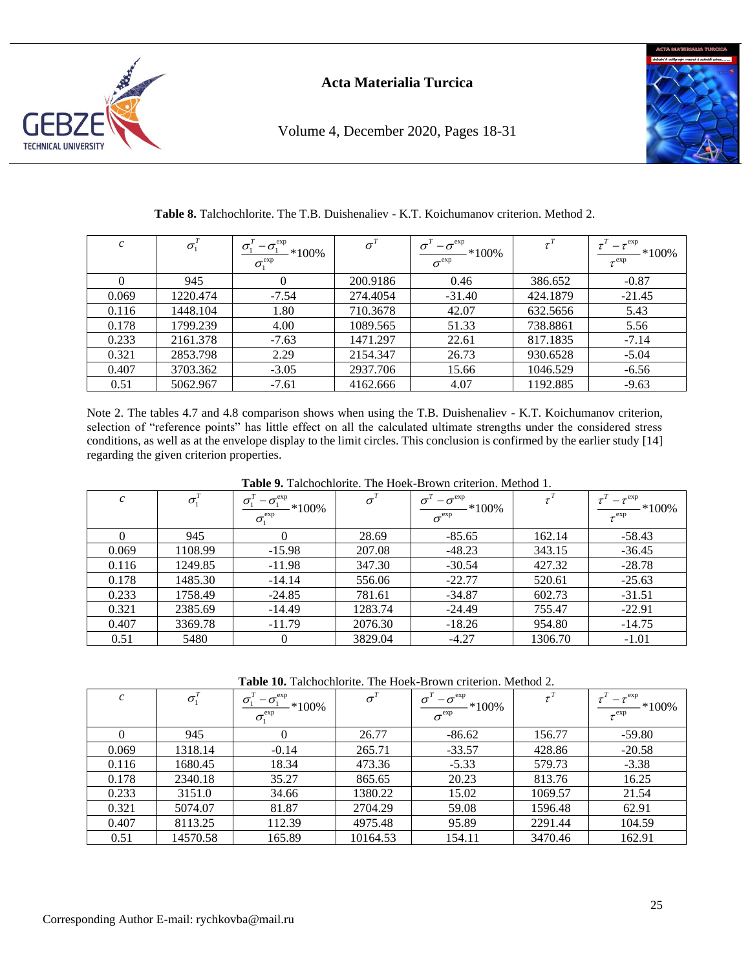

Volume 4, December 2020, Pages 18-31



\*100%

|       |          | $\equiv$ exp<br>ັ<br>$*100\%$<br>$\sigma^{\rm exp}_{\rm i}$ |          | exp<br>$*100\%$<br>$\sigma^{\rm exp}$ |          | exp<br>$*1$<br>$e^{exp}$ |
|-------|----------|-------------------------------------------------------------|----------|---------------------------------------|----------|--------------------------|
|       | 945      |                                                             | 200.9186 | 0.46                                  | 386.652  | $-0.87$                  |
| 0.069 | 1220.474 | $-7.54$                                                     | 274.4054 | $-31.40$                              | 424.1879 | $-21.45$                 |

0.116 1448.104 1.80 710.3678 42.07 632.5656 5.43 0.178 | 1799.239 | 4.00 | 1089.565 | 51.33 | 738.8861 | 5.56  $0.233$  | 2161.378 | -7.63 | 1471.297 | 22.61 | 817.1835 | -7.14  $0.321$  | 2853.798 | 2.29 | 2154.347 | 26.73 | 930.6528 | -5.04  $0.407$  | 3703.362 | -3.05 | 2937.706 | 15.66 | 1046.529 | -6.56  $0.51$  5062.967 -7.61 4162.666 4.07 1192.885 -9.63

**Table 8.** Talchochlorite. The T.B. Duishenaliev - K.T. Koichumanov criterion. Method 2.

Note 2. The tables 4.7 and 4.8 comparison shows when using the T.B. Duishenaliev - K.T. Koichumanov criterion, selection of "reference points" has little effect on all the calculated ultimate strengths under the considered stress conditions, as well as at the envelope display to the limit circles. This conclusion is confirmed by the earlier study [14] regarding the given criterion properties.

| $\mathcal{C}$ | $\sigma_{1}$ | $-\sigma_{1}^{\rm exp}$<br>$\sigma_1$<br>$*100\%$<br>$\sigma_i^{\rm exp}$ | $\sigma'$ | $-\sigma^{\rm exp}$<br>$\sigma$<br>$-*100\%$<br>$\sigma^{\rm exp}$ |         | $-\tau^{\rm exp}$<br>$*100\%$<br>$\tau^{\rm exp}$ |
|---------------|--------------|---------------------------------------------------------------------------|-----------|--------------------------------------------------------------------|---------|---------------------------------------------------|
|               | 945          | $\theta$                                                                  | 28.69     | $-85.65$                                                           | 162.14  | $-58.43$                                          |
| 0.069         | 1108.99      | $-15.98$                                                                  | 207.08    | $-48.23$                                                           | 343.15  | $-36.45$                                          |
| 0.116         | 1249.85      | $-11.98$                                                                  | 347.30    | $-30.54$                                                           | 427.32  | $-28.78$                                          |
| 0.178         | 1485.30      | $-14.14$                                                                  | 556.06    | $-22.77$                                                           | 520.61  | $-25.63$                                          |
| 0.233         | 1758.49      | $-24.85$                                                                  | 781.61    | $-34.87$                                                           | 602.73  | $-31.51$                                          |
| 0.321         | 2385.69      | $-14.49$                                                                  | 1283.74   | $-24.49$                                                           | 755.47  | $-22.91$                                          |
| 0.407         | 3369.78      | $-11.79$                                                                  | 2076.30   | $-18.26$                                                           | 954.80  | $-14.75$                                          |
| 0.51          | 5480         | $\theta$                                                                  | 3829.04   | $-4.27$                                                            | 1306.70 | $-1.01$                                           |

**Table 9.** Talchochlorite. The Hoek-Brown criterion. Method 1.

**Table 10.** Talchochlorite. The Hoek-Brown criterion. Method 2.

| $\mathcal{C}$ | $\sigma_{i}$ | $-\sigma_{\text{\tiny{Y}}}^{\text{exp}}$<br>$*100\%$<br>$\sigma_{1}^{\text{exp}}$ | $\sigma$ | $-\sigma^{\rm exp}$<br>$\sigma$<br>$-*100\%$<br>$\sigma^{\rm exp}$ |         | $-\tau^{\rm exp}$<br>$*100\%$<br>$\tau^{\rm exp}$ |
|---------------|--------------|-----------------------------------------------------------------------------------|----------|--------------------------------------------------------------------|---------|---------------------------------------------------|
| $\theta$      | 945          | U                                                                                 | 26.77    | $-86.62$                                                           | 156.77  | $-59.80$                                          |
| 0.069         | 1318.14      | $-0.14$                                                                           | 265.71   | $-33.57$                                                           | 428.86  | $-20.58$                                          |
| 0.116         | 1680.45      | 18.34                                                                             | 473.36   | $-5.33$                                                            | 579.73  | $-3.38$                                           |
| 0.178         | 2340.18      | 35.27                                                                             | 865.65   | 20.23                                                              | 813.76  | 16.25                                             |
| 0.233         | 3151.0       | 34.66                                                                             | 1380.22  | 15.02                                                              | 1069.57 | 21.54                                             |
| 0.321         | 5074.07      | 81.87                                                                             | 2704.29  | 59.08                                                              | 1596.48 | 62.91                                             |
| 0.407         | 8113.25      | 112.39                                                                            | 4975.48  | 95.89                                                              | 2291.44 | 104.59                                            |
| 0.51          | 14570.58     | 165.89                                                                            | 10164.53 | 154.11                                                             | 3470.46 | 162.91                                            |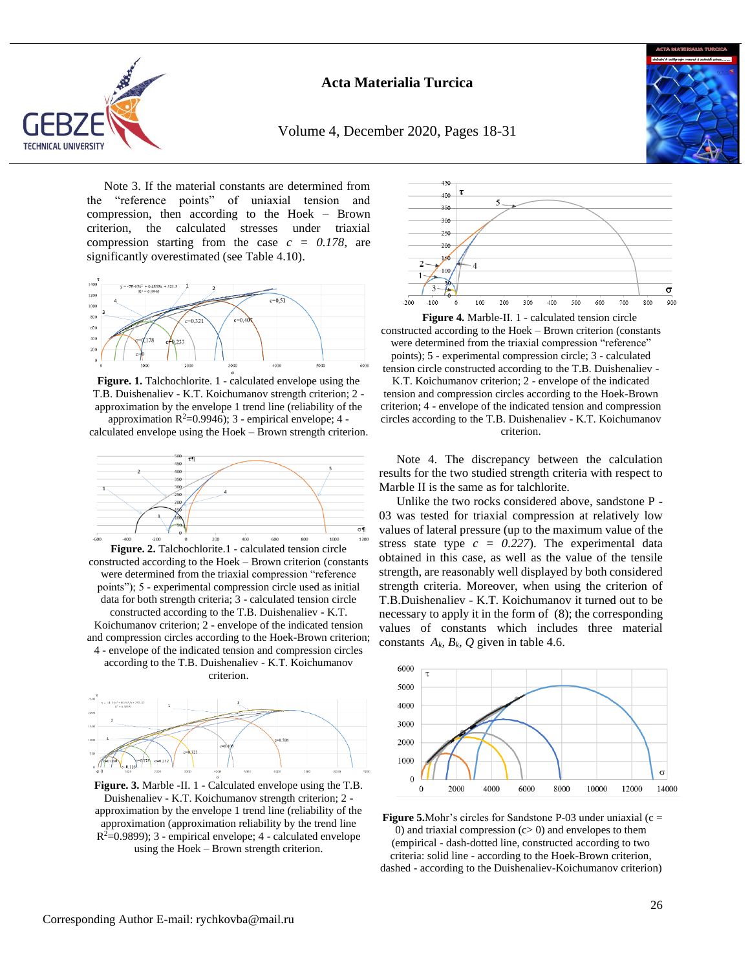

Volume 4, December 2020, Pages 18-31



Note 3. If the material constants are determined from the "reference points" of uniaxial tension and compression, then according to the Hoek – Brown criterion, the calculated stresses under triaxial compression starting from the case *c = 0.178*, are significantly overestimated (see Table 4.10).



**Figure. 1.** Talchochlorite. 1 - calculated envelope using the T.B. Duishenaliev - K.T. Koichumanov strength criterion; 2 approximation by the envelope 1 trend line (reliability of the approximation  $R^2=0.9946$ ; 3 - empirical envelope; 4 -

calculated envelope using the Hoek – Brown strength criterion.



constructed according to the Hoek – Brown criterion (constants were determined from the triaxial compression "reference points"); 5 - experimental compression circle used as initial data for both strength criteria; 3 - calculated tension circle constructed according to the T.B. Duishenaliev - K.T. Koichumanov criterion; 2 - envelope of the indicated tension and compression circles according to the Hoek-Brown criterion; 4 - envelope of the indicated tension and compression circles according to the T.B. Duishenaliev - K.T. Koichumanov criterion.



**Figure. 3.** Marble -II. 1 - Calculated envelope using the T.B. Duishenaliev - K.T. Koichumanov strength criterion; 2 approximation by the envelope 1 trend line (reliability of the approximation (approximation reliability by the trend line  $R^2=0.9899$ ; 3 - empirical envelope; 4 - calculated envelope using the Hoek – Brown strength criterion.



**Figure 4.** Marble-II. 1 - calculated tension circle constructed according to the Hoek – Brown criterion (constants were determined from the triaxial compression "reference" points); 5 - experimental compression circle; 3 - calculated tension circle constructed according to the T.B. Duishenaliev -

K.T. Koichumanov criterion; 2 - envelope of the indicated tension and compression circles according to the Hoek-Brown criterion; 4 - envelope of the indicated tension and compression circles according to the T.B. Duishenaliev - K.T. Koichumanov criterion.

Note 4. The discrepancy between the calculation results for the two studied strength criteria with respect to Marble II is the same as for talchlorite.

Unlike the two rocks considered above, sandstone P - 03 was tested for triaxial compression at relatively low values of lateral pressure (up to the maximum value of the stress state type  $c = 0.227$ . The experimental data obtained in this case, as well as the value of the tensile strength, are reasonably well displayed by both considered strength criteria. Moreover, when using the criterion of T.B.Duishenaliev - K.T. Koichumanov it turned out to be necessary to apply it in the form of (8); the corresponding values of constants which includes three material constants  $A_k$ ,  $B_k$ ,  $Q$  given in table 4.6.



**Figure 5.**Mohr's circles for Sandstone P-03 under uniaxial  $(c =$ 0) and triaxial compression  $(c>0)$  and envelopes to them (empirical - dash-dotted line, constructed according to two criteria: solid line - according to the Hoek-Brown criterion, dashed - according to the Duishenaliev-Koichumanov criterion)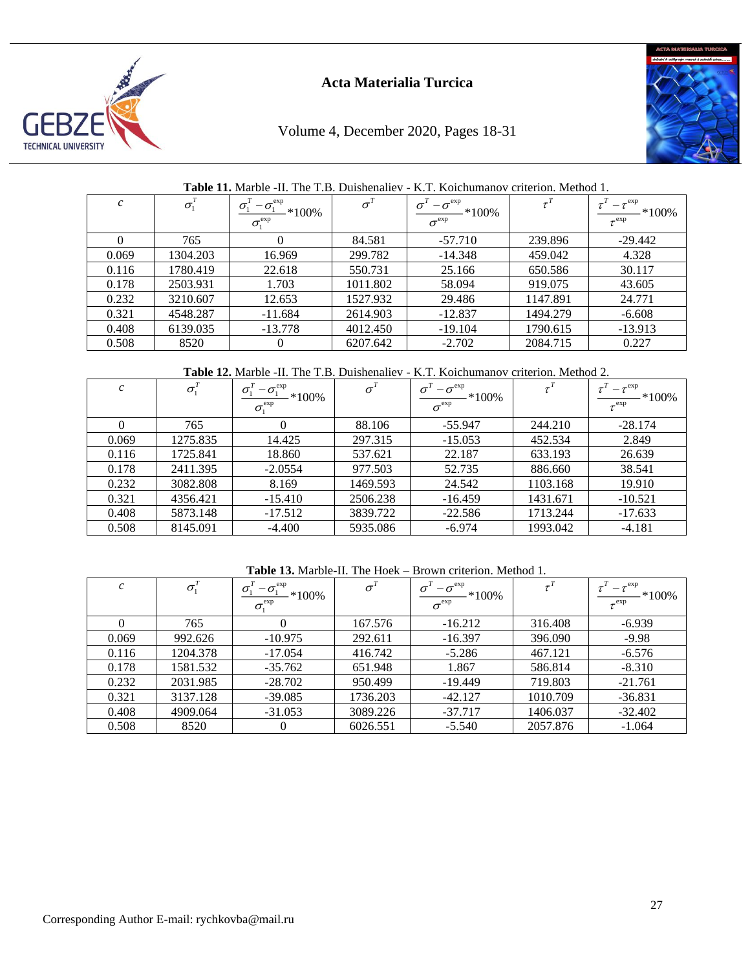

# Volume 4, December 2020, Pages 18-31



## **Table 11.** Marble -II. The T.B. Duishenaliev - K.T. Koichumanov criterion. Method 1*.*

| $\mathcal{C}_{0}$ | $\sigma_1'$ | $-\sigma_{1}^{\rm exp}$<br>$\sigma_{\rm i}$<br>$*100\%$<br>$\sigma_{i}^{\rm exp}$ | $\sigma'$ | $-\sigma^{\rm exp}$<br>$*100\%$<br>$\sigma^{\rm exp}$ | $\tau^T$ | $-\tau^{\rm exp}$<br>$*100\%$<br>$\tau^{\rm exp}$ |
|-------------------|-------------|-----------------------------------------------------------------------------------|-----------|-------------------------------------------------------|----------|---------------------------------------------------|
|                   | 765         |                                                                                   | 84.581    | $-57.710$                                             | 239.896  | $-29.442$                                         |
| 0.069             | 1304.203    | 16.969                                                                            | 299.782   | $-14.348$                                             | 459.042  | 4.328                                             |
| 0.116             | 1780.419    | 22.618                                                                            | 550.731   | 25.166                                                | 650.586  | 30.117                                            |
| 0.178             | 2503.931    | 1.703                                                                             | 1011.802  | 58.094                                                | 919.075  | 43.605                                            |
| 0.232             | 3210.607    | 12.653                                                                            | 1527.932  | 29.486                                                | 1147.891 | 24.771                                            |
| 0.321             | 4548.287    | $-11.684$                                                                         | 2614.903  | $-12.837$                                             | 1494.279 | $-6.608$                                          |
| 0.408             | 6139.035    | $-13.778$                                                                         | 4012.450  | $-19.104$                                             | 1790.615 | $-13.913$                                         |
| 0.508             | 8520        |                                                                                   | 6207.642  | $-2.702$                                              | 2084.715 | 0.227                                             |

## **Table 12.** Marble -II. The T.B. Duishenaliev - K.T. Koichumanov criterion. Method 2.

| $\mathcal{C}_{0}$ | $\sigma_1^T$ | $-\sigma_{1}^{\rm exp}$<br>$*100\%$<br>$\sigma_{1}^{\rm exp}$ | $\sigma^{\mathrm{\scriptscriptstyle T}}$ | $-\sigma^{\rm exp}$<br>$-*100\%$<br>$\sigma^{\rm exp}$ |          | $-\tau^{\rm exp}$<br>$*100\%$<br>$\tau^{\rm exp}$ |
|-------------------|--------------|---------------------------------------------------------------|------------------------------------------|--------------------------------------------------------|----------|---------------------------------------------------|
|                   | 765          | $\theta$                                                      | 88.106                                   | $-55.947$                                              | 244.210  | $-28.174$                                         |
| 0.069             | 1275.835     | 14.425                                                        | 297.315                                  | $-15.053$                                              | 452.534  | 2.849                                             |
| 0.116             | 1725.841     | 18.860                                                        | 537.621                                  | 22.187                                                 | 633.193  | 26.639                                            |
| 0.178             | 2411.395     | $-2.0554$                                                     | 977.503                                  | 52.735                                                 | 886.660  | 38.541                                            |
| 0.232             | 3082.808     | 8.169                                                         | 1469.593                                 | 24.542                                                 | 1103.168 | 19.910                                            |
| 0.321             | 4356.421     | $-15.410$                                                     | 2506.238                                 | $-16.459$                                              | 1431.671 | $-10.521$                                         |
| 0.408             | 5873.148     | $-17.512$                                                     | 3839.722                                 | $-22.586$                                              | 1713.244 | $-17.633$                                         |
| 0.508             | 8145.091     | $-4.400$                                                      | 5935.086                                 | $-6.974$                                               | 1993.042 | $-4.181$                                          |

## **Table 13.** Marble-II. The Hoek – Brown criterion. Method 1*.*

| $\mathcal{C}$ | $\sigma_1^2$ | $-\sigma_{1}^{\rm exp}$<br>$*100\%$<br>$\sigma_{1}^{\rm exp}$ |          | $-\sigma^{\rm exp}$<br>$*100\%$<br>$\sigma^{\rm exp}$ |          | $-\tau^{\rm exp}$<br>$*100\%$<br>$\tau^{\rm exp}$ |
|---------------|--------------|---------------------------------------------------------------|----------|-------------------------------------------------------|----------|---------------------------------------------------|
|               | 765          |                                                               | 167.576  | $-16.212$                                             | 316.408  | $-6.939$                                          |
| 0.069         | 992.626      | $-10.975$                                                     | 292.611  | $-16.397$                                             | 396.090  | $-9.98$                                           |
| 0.116         | 1204.378     | $-17.054$                                                     | 416.742  | $-5.286$                                              | 467.121  | $-6.576$                                          |
| 0.178         | 1581.532     | $-35.762$                                                     | 651.948  | 1.867                                                 | 586.814  | $-8.310$                                          |
| 0.232         | 2031.985     | $-28.702$                                                     | 950.499  | $-19.449$                                             | 719.803  | $-21.761$                                         |
| 0.321         | 3137.128     | $-39.085$                                                     | 1736.203 | $-42.127$                                             | 1010.709 | $-36.831$                                         |
| 0.408         | 4909.064     | $-31.053$                                                     | 3089.226 | $-37.717$                                             | 1406.037 | $-32.402$                                         |
| 0.508         | 8520         | $_{0}$                                                        | 6026.551 | $-5.540$                                              | 2057.876 | $-1.064$                                          |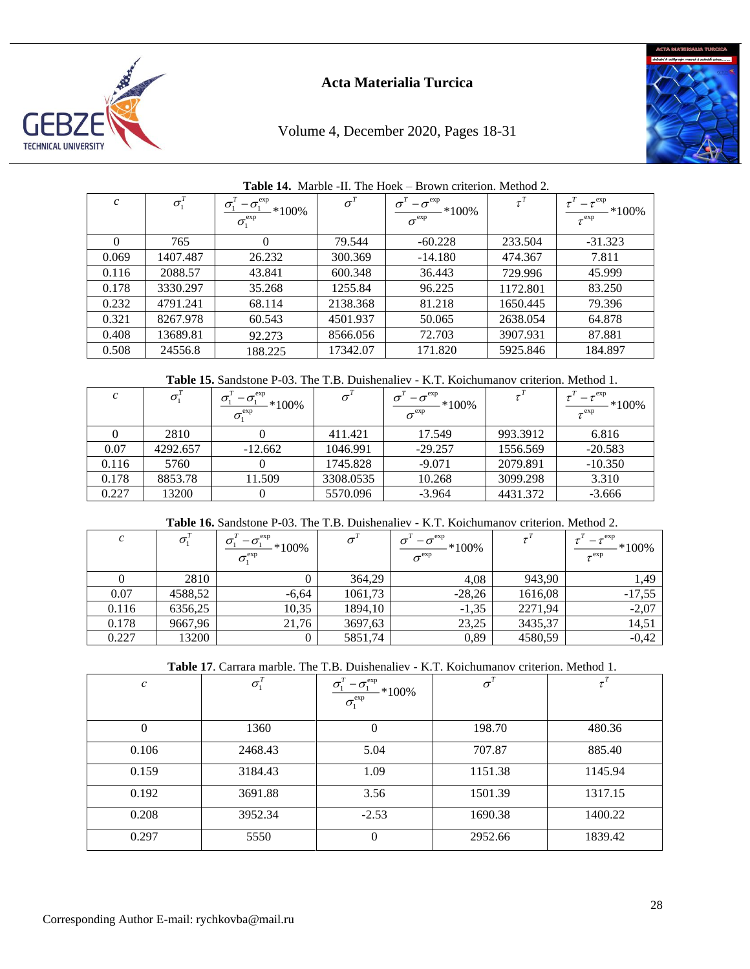

# Volume 4, December 2020, Pages 18-31



|               | $\mathbf{11} \cdot \mathbf{110} \cdot \mathbf{100}$<br>$P_1 \cup P_2 \cup P_3 \cup P_4 \cup P_5 \cup P_6 \cup P_7$ |                                                                                                |           |                                                                                |          |                                                   |  |  |
|---------------|--------------------------------------------------------------------------------------------------------------------|------------------------------------------------------------------------------------------------|-----------|--------------------------------------------------------------------------------|----------|---------------------------------------------------|--|--|
| $\mathcal{C}$ | $\sigma^{\scriptscriptstyle T}_1$                                                                                  | $-\sigma_{1}^{\rm exp}$<br>$\sigma_{\text{\tiny{l}}}$<br>$*100\%$<br>$\sigma_{1}^{\text{exp}}$ | $\sigma'$ | $-\sigma^{\rm exp}$<br>$\sigma$ <sup>-</sup><br>$*100\%$<br>$\sigma^{\rm exp}$ | $\tau^T$ | $-\tau^{\rm exp}$<br>$*100\%$<br>$\tau^{\rm exp}$ |  |  |
| $\Omega$      | 765                                                                                                                |                                                                                                | 79.544    | $-60.228$                                                                      | 233.504  | $-31.323$                                         |  |  |
| 0.069         | 1407.487                                                                                                           | 26.232                                                                                         | 300.369   | $-14.180$                                                                      | 474.367  | 7.811                                             |  |  |
| 0.116         | 2088.57                                                                                                            | 43.841                                                                                         | 600.348   | 36.443                                                                         | 729.996  | 45.999                                            |  |  |
| 0.178         | 3330.297                                                                                                           | 35.268                                                                                         | 1255.84   | 96.225                                                                         | 1172.801 | 83.250                                            |  |  |
| 0.232         | 4791.241                                                                                                           | 68.114                                                                                         | 2138.368  | 81.218                                                                         | 1650.445 | 79.396                                            |  |  |
| 0.321         | 8267.978                                                                                                           | 60.543                                                                                         | 4501.937  | 50.065                                                                         | 2638.054 | 64.878                                            |  |  |
| 0.408         | 13689.81                                                                                                           | 92.273                                                                                         | 8566.056  | 72.703                                                                         | 3907.931 | 87.881                                            |  |  |
| 0.508         | 24556.8                                                                                                            | 188.225                                                                                        | 17342.07  | 171.820                                                                        | 5925.846 | 184.897                                           |  |  |

#### **Table 14.** Marble -II. The Hoek – Brown criterion. Method 2*.*

**Table 15.** Sandstone P-03. The T.B. Duishenaliev - K.T. Koichumanov criterion. Method 1.

|       |          | $-\sigma_{1}^{\exp}$<br>$\sigma$<br>$*100\%$<br>$\sigma_{i}^{\rm exp}$ | $\sigma$  | $-\sigma^{\rm exp}$<br>$*100\%$<br>$\sigma^{\rm exp}$ |          | $\tau^{\rm exp}$<br>$*100\%$<br>$\tau^{\rm exp}$ |
|-------|----------|------------------------------------------------------------------------|-----------|-------------------------------------------------------|----------|--------------------------------------------------|
|       | 2810     |                                                                        | 411.421   | 17.549                                                | 993.3912 | 6.816                                            |
| 0.07  | 4292.657 | $-12.662$                                                              | 1046.991  | $-29.257$                                             | 1556.569 | $-20.583$                                        |
| 0.116 | 5760     |                                                                        | 1745.828  | $-9.071$                                              | 2079.891 | $-10.350$                                        |
| 0.178 | 8853.78  | 11.509                                                                 | 3308.0535 | 10.268                                                | 3099.298 | 3.310                                            |
| 0.227 | 13200    |                                                                        | 5570.096  | $-3.964$                                              | 4431.372 | $-3.666$                                         |

## **Table 16.** Sandstone P-03. The T.B. Duishenaliev - K.T. Koichumanov criterion. Method 2.

| $\mathcal{C}_{0}$ | $\sigma_{i}$ | $-\sigma^{\rm exp}_{\rm i}$<br>σ<br>$*100\%$<br>$\sigma_{i}^{\rm exp}$ | $\sigma$ | $-\sigma^{\rm exp}$<br>$\sigma$<br>$*100\%$<br>$\sigma^{\rm exp}$ |         | $-\tau^{\rm exp}$<br>$*100\%$<br>$\tau^{\rm exp}$ |
|-------------------|--------------|------------------------------------------------------------------------|----------|-------------------------------------------------------------------|---------|---------------------------------------------------|
|                   | 2810         |                                                                        | 364,29   | 4,08                                                              | 943,90  | 1,49                                              |
| 0.07              | 4588,52      | $-6,64$                                                                | 1061,73  | $-28,26$                                                          | 1616,08 | $-17,55$                                          |
| 0.116             | 6356,25      | 10,35                                                                  | 1894,10  | $-1,35$                                                           | 2271,94 | $-2,07$                                           |
| 0.178             | 9667,96      | 21,76                                                                  | 3697,63  | 23,25                                                             | 3435,37 | 14,51                                             |
| 0.227             | 13200        |                                                                        | 5851,74  | 0,89                                                              | 4580,59 | $-0,42$                                           |

**Table 17**. Carrara marble. The T.B. Duishenaliev - K.T. Koichumanov criterion. Method 1.

| $\mathcal{C}$ | $\sigma^{\scriptscriptstyle T}_\scriptscriptstyle 1$ | $-\sigma_{1}^{\exp}$<br>$\sigma_{1}$<br>$*100%$<br>$\sigma_{1}^{\text{exp}}$ | $\sigma^{\mathrm{\scriptscriptstyle T}}$ |         |
|---------------|------------------------------------------------------|------------------------------------------------------------------------------|------------------------------------------|---------|
| $\Omega$      | 1360                                                 | $\theta$                                                                     | 198.70                                   | 480.36  |
| 0.106         | 2468.43                                              | 5.04                                                                         | 707.87                                   | 885.40  |
| 0.159         | 3184.43                                              | 1.09                                                                         | 1151.38                                  | 1145.94 |
| 0.192         | 3691.88                                              | 3.56                                                                         | 1501.39                                  | 1317.15 |
| 0.208         | 3952.34                                              | $-2.53$                                                                      | 1690.38                                  | 1400.22 |
| 0.297         | 5550                                                 | $\Omega$                                                                     | 2952.66                                  | 1839.42 |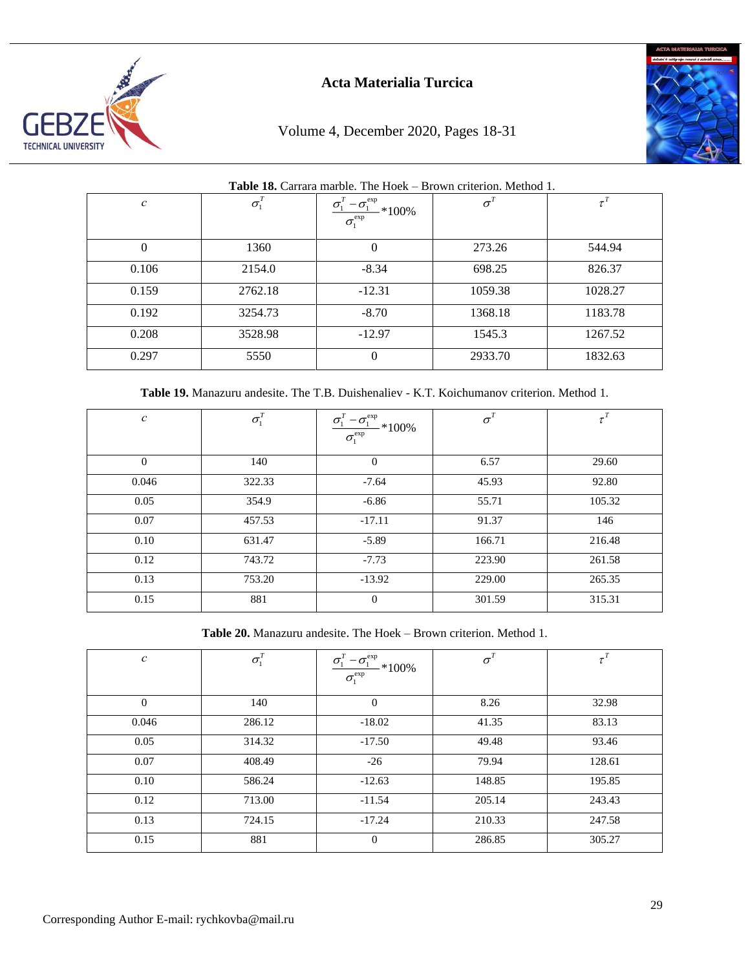

# Volume 4, December 2020, Pages 18-31



|  | <b>Table 18.</b> Carrara marble. The Hoek – Brown criterion. Method 1. |  |
|--|------------------------------------------------------------------------|--|
|  |                                                                        |  |

| $\mathcal C$ | $\sigma_1$ | $-\sigma^{\rm exp}$<br>$\sigma$<br>$*100\%$<br>$\sigma_{1}^{\text{exp}}$ | $\sigma^{\rm\scriptscriptstyle T}$ |         |
|--------------|------------|--------------------------------------------------------------------------|------------------------------------|---------|
| $\theta$     | 1360       | $\Omega$                                                                 | 273.26                             | 544.94  |
| 0.106        | 2154.0     | $-8.34$                                                                  | 698.25                             | 826.37  |
| 0.159        | 2762.18    | $-12.31$                                                                 | 1059.38                            | 1028.27 |
| 0.192        | 3254.73    | $-8.70$                                                                  | 1368.18                            | 1183.78 |
| 0.208        | 3528.98    | $-12.97$                                                                 | 1545.3                             | 1267.52 |
| 0.297        | 5550       | 0                                                                        | 2933.70                            | 1832.63 |

**Table 19.** Manazuru andesite. The T.B. Duishenaliev - K.T. Koichumanov criterion. Method 1*.*

| $\mathcal C$ | $\sigma^{\scriptscriptstyle T}_1$ | $\frac{\sigma_{\text{l}}^{\text{T}}-\sigma_{\text{l}}^{\text{exp}}}{\sigma_{\text{l}}^{\text{exp}}}$ *100% | $\sigma^{\mathrm{\scriptscriptstyle T}}$ |        |
|--------------|-----------------------------------|------------------------------------------------------------------------------------------------------------|------------------------------------------|--------|
| $\Omega$     | 140                               | $\theta$                                                                                                   | 6.57                                     | 29.60  |
| 0.046        | 322.33                            | $-7.64$                                                                                                    | 45.93                                    | 92.80  |
| 0.05         | 354.9                             | $-6.86$                                                                                                    | 55.71                                    | 105.32 |
| 0.07         | 457.53                            | $-17.11$                                                                                                   | 91.37                                    | 146    |
| 0.10         | 631.47                            | $-5.89$                                                                                                    | 166.71                                   | 216.48 |
| 0.12         | 743.72                            | $-7.73$                                                                                                    | 223.90                                   | 261.58 |
| 0.13         | 753.20                            | $-13.92$                                                                                                   | 229.00                                   | 265.35 |
| 0.15         | 881                               | $\Omega$                                                                                                   | 301.59                                   | 315.31 |

**Table 20.** Manazuru andesite. The Hoek – Brown criterion. Method 1*.*

| $\,c\,$  | $\sigma_{\rm 1}^{ \scriptscriptstyle T}$ | $\frac{\sigma_\text{l}^T - \sigma_\text{l}^\text{exp}}{\sigma_\text{l}^\text{exp}} * 100\%$ | $\sigma^{\tau}$ |        |
|----------|------------------------------------------|---------------------------------------------------------------------------------------------|-----------------|--------|
| $\Omega$ | 140                                      | $\Omega$                                                                                    | 8.26            | 32.98  |
| 0.046    | 286.12                                   | $-18.02$                                                                                    | 41.35           | 83.13  |
| 0.05     | 314.32                                   | $-17.50$                                                                                    | 49.48           | 93.46  |
| 0.07     | 408.49                                   | $-26$                                                                                       | 79.94           | 128.61 |
| 0.10     | 586.24                                   | $-12.63$                                                                                    | 148.85          | 195.85 |
| 0.12     | 713.00                                   | $-11.54$                                                                                    | 205.14          | 243.43 |
| 0.13     | 724.15                                   | $-17.24$                                                                                    | 210.33          | 247.58 |
| 0.15     | 881                                      | $\theta$                                                                                    | 286.85          | 305.27 |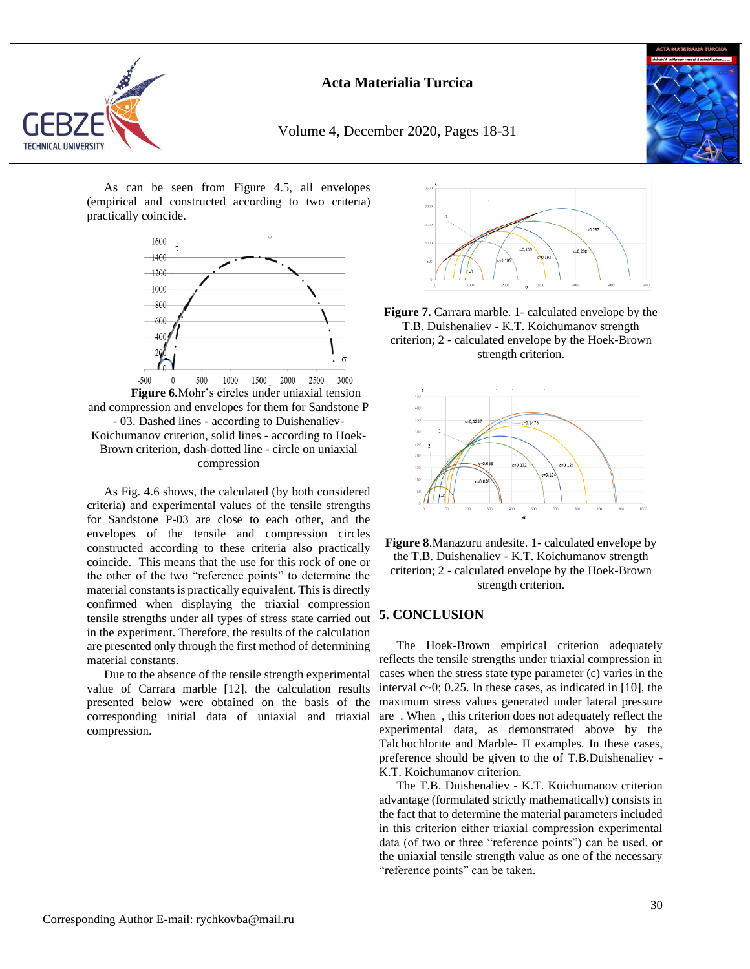

Volume 4, December 2020, Pages 18-31



As can be seen from Figure 4.5, all envelopes (empirical and constructed according to two criteria) practically coincide.



**Figure 6.**Mohr's circles under uniaxial tension and compression and envelopes for them for Sandstone P - 03. Dashed lines - according to Duishenaliev-Koichumanov criterion, solid lines - according to Hoek-Brown criterion, dash-dotted line - circle on uniaxial compression

As Fig. 4.6 shows, the calculated (by both considered criteria) and experimental values of the tensile strengths for Sandstone P-03 are close to each other, and the envelopes of the tensile and compression circles constructed according to these criteria also practically coincide. This means that the use for this rock of one or the other of the two "reference points" to determine the material constants is practically equivalent. This is directly confirmed when displaying the triaxial compression tensile strengths under all types of stress state carried out in the experiment. Therefore, the results of the calculation are presented only through the first method of determining material constants.

Due to the absence of the tensile strength experimental value of Carrara marble [12], the calculation results presented below were obtained on the basis of the corresponding initial data of uniaxial and triaxial compression.



**Figure 7.** Carrara marble. 1- calculated envelope by the T.B. Duishenaliev - K.T. Koichumanov strength criterion; 2 - calculated envelope by the Hoek-Brown strength criterion.





## **5. CONCLUSION**

The Hoek-Brown empirical criterion adequately reflects the tensile strengths under triaxial compression in cases when the stress state type parameter (c) varies in the interval  $c \sim 0$ ; 0.25. In these cases, as indicated in [10], the maximum stress values generated under lateral pressure are . When , this criterion does not adequately reflect the experimental data, as demonstrated above by the Talchochlorite and Marble- II examples. In these cases, preference should be given to the of T.B.Duishenaliev - K.T. Koichumanov criterion.

The T.B. Duishenaliev - K.T. Koichumanov criterion advantage (formulated strictly mathematically) consists in the fact that to determine the material parameters included in this criterion either triaxial compression experimental data (of two or three "reference points") can be used, or the uniaxial tensile strength value as one of the necessary "reference points" can be taken.